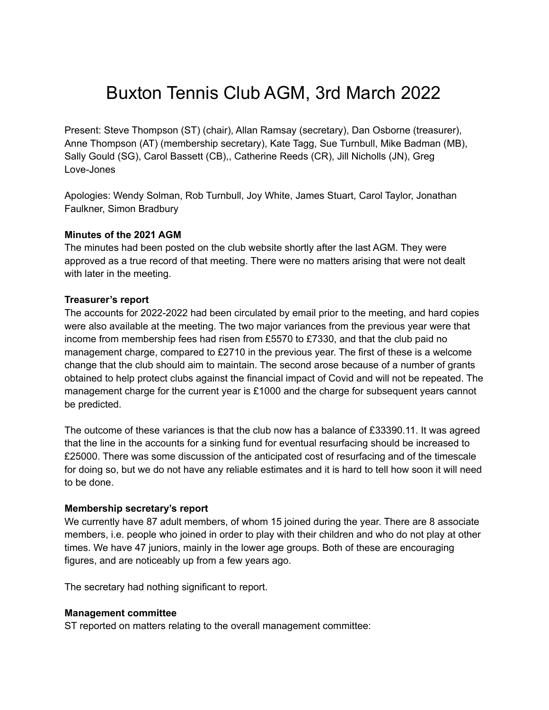# Buxton Tennis Club AGM, 3rd March 2022

Present: Steve Thompson (ST) (chair), Allan Ramsay (secretary), Dan Osborne (treasurer), Anne Thompson (AT) (membership secretary), Kate Tagg, Sue Turnbull, Mike Badman (MB), Sally Gould (SG), Carol Bassett (CB),, Catherine Reeds (CR), Jill Nicholls (JN), Greg Love-Jones

Apologies: Wendy Solman, Rob Turnbull, Joy White, James Stuart, Carol Taylor, Jonathan Faulkner, Simon Bradbury

#### **Minutes of the 2021 AGM**

The minutes had been posted on the club website shortly after the last AGM. They were approved as a true record of that meeting. There were no matters arising that were not dealt with later in the meeting.

#### **Treasurer's report**

The accounts for 2022-2022 had been circulated by email prior to the meeting, and hard copies were also available at the meeting. The two major variances from the previous year were that income from membership fees had risen from £5570 to £7330, and that the club paid no management charge, compared to £2710 in the previous year. The first of these is a welcome change that the club should aim to maintain. The second arose because of a number of grants obtained to help protect clubs against the financial impact of Covid and will not be repeated. The management charge for the current year is £1000 and the charge for subsequent years cannot be predicted.

The outcome of these variances is that the club now has a balance of £33390.11. It was agreed that the line in the accounts for a sinking fund for eventual resurfacing should be increased to £25000. There was some discussion of the anticipated cost of resurfacing and of the timescale for doing so, but we do not have any reliable estimates and it is hard to tell how soon it will need to be done.

#### **Membership secretary's report**

We currently have 87 adult members, of whom 15 joined during the year. There are 8 associate members, i.e. people who joined in order to play with their children and who do not play at other times. We have 47 juniors, mainly in the lower age groups. Both of these are encouraging figures, and are noticeably up from a few years ago.

The secretary had nothing significant to report.

#### **Management committee**

ST reported on matters relating to the overall management committee: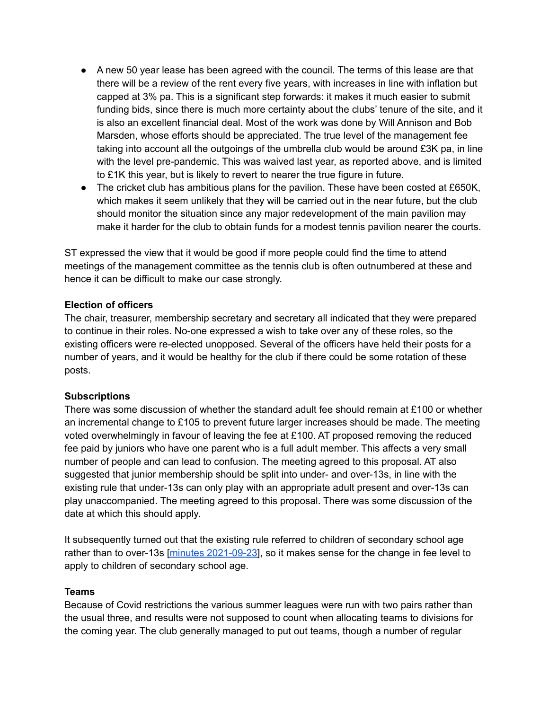- A new 50 year lease has been agreed with the council. The terms of this lease are that there will be a review of the rent every five years, with increases in line with inflation but capped at 3% pa. This is a significant step forwards: it makes it much easier to submit funding bids, since there is much more certainty about the clubs' tenure of the site, and it is also an excellent financial deal. Most of the work was done by Will Annison and Bob Marsden, whose efforts should be appreciated. The true level of the management fee taking into account all the outgoings of the umbrella club would be around £3K pa, in line with the level pre-pandemic. This was waived last year, as reported above, and is limited to £1K this year, but is likely to revert to nearer the true figure in future.
- The cricket club has ambitious plans for the pavilion. These have been costed at £650K, which makes it seem unlikely that they will be carried out in the near future, but the club should monitor the situation since any major redevelopment of the main pavilion may make it harder for the club to obtain funds for a modest tennis pavilion nearer the courts.

ST expressed the view that it would be good if more people could find the time to attend meetings of the management committee as the tennis club is often outnumbered at these and hence it can be difficult to make our case strongly.

## **Election of officers**

The chair, treasurer, membership secretary and secretary all indicated that they were prepared to continue in their roles. No-one expressed a wish to take over any of these roles, so the existing officers were re-elected unopposed. Several of the officers have held their posts for a number of years, and it would be healthy for the club if there could be some rotation of these posts.

## **Subscriptions**

There was some discussion of whether the standard adult fee should remain at £100 or whether an incremental change to £105 to prevent future larger increases should be made. The meeting voted overwhelmingly in favour of leaving the fee at £100. AT proposed removing the reduced fee paid by juniors who have one parent who is a full adult member. This affects a very small number of people and can lead to confusion. The meeting agreed to this proposal. AT also suggested that junior membership should be split into under- and over-13s, in line with the existing rule that under-13s can only play with an appropriate adult present and over-13s can play unaccompanied. The meeting agreed to this proposal. There was some discussion of the date at which this should apply.

It subsequently turned out that the existing rule referred to children of secondary school age rather than to over-13s [minutes [2021-09-23](http://www.buxtontennisclub.co.uk/MINUTES/minutes-2021-09-23.pdf)], so it makes sense for the change in fee level to apply to children of secondary school age.

## **Teams**

Because of Covid restrictions the various summer leagues were run with two pairs rather than the usual three, and results were not supposed to count when allocating teams to divisions for the coming year. The club generally managed to put out teams, though a number of regular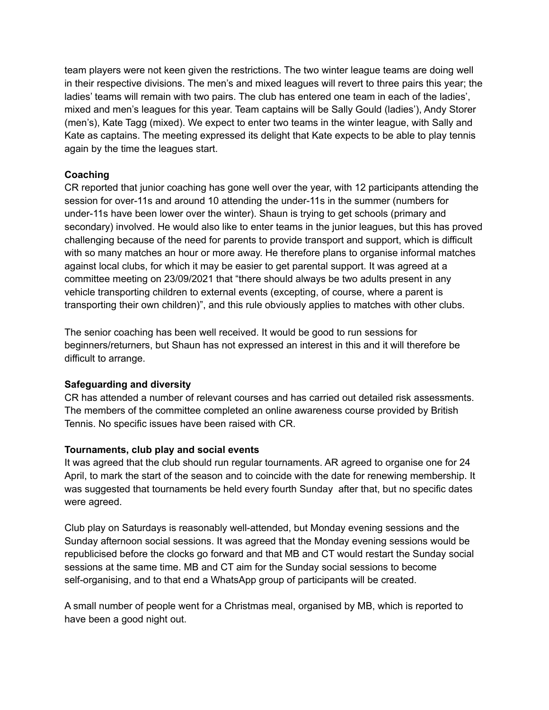team players were not keen given the restrictions. The two winter league teams are doing well in their respective divisions. The men's and mixed leagues will revert to three pairs this year; the ladies' teams will remain with two pairs. The club has entered one team in each of the ladies', mixed and men's leagues for this year. Team captains will be Sally Gould (ladies'), Andy Storer (men's), Kate Tagg (mixed). We expect to enter two teams in the winter league, with Sally and Kate as captains. The meeting expressed its delight that Kate expects to be able to play tennis again by the time the leagues start.

## **Coaching**

CR reported that junior coaching has gone well over the year, with 12 participants attending the session for over-11s and around 10 attending the under-11s in the summer (numbers for under-11s have been lower over the winter). Shaun is trying to get schools (primary and secondary) involved. He would also like to enter teams in the junior leagues, but this has proved challenging because of the need for parents to provide transport and support, which is difficult with so many matches an hour or more away. He therefore plans to organise informal matches against local clubs, for which it may be easier to get parental support. It was agreed at a committee meeting on 23/09/2021 that "there should always be two adults present in any vehicle transporting children to external events (excepting, of course, where a parent is transporting their own children)", and this rule obviously applies to matches with other clubs.

The senior coaching has been well received. It would be good to run sessions for beginners/returners, but Shaun has not expressed an interest in this and it will therefore be difficult to arrange.

## **Safeguarding and diversity**

CR has attended a number of relevant courses and has carried out detailed risk assessments. The members of the committee completed an online awareness course provided by British Tennis. No specific issues have been raised with CR.

## **Tournaments, club play and social events**

It was agreed that the club should run regular tournaments. AR agreed to organise one for 24 April, to mark the start of the season and to coincide with the date for renewing membership. It was suggested that tournaments be held every fourth Sunday after that, but no specific dates were agreed.

Club play on Saturdays is reasonably well-attended, but Monday evening sessions and the Sunday afternoon social sessions. It was agreed that the Monday evening sessions would be republicised before the clocks go forward and that MB and CT would restart the Sunday social sessions at the same time. MB and CT aim for the Sunday social sessions to become self-organising, and to that end a WhatsApp group of participants will be created.

A small number of people went for a Christmas meal, organised by MB, which is reported to have been a good night out.